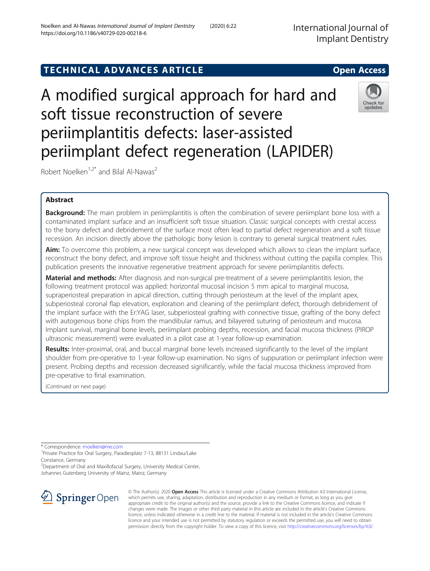# TECHNICAL ADVANCES ARTICLE **THE SERVICE SERVICE SERVICES** Open Access

A modified surgical approach for hard and soft tissue reconstruction of severe periimplantitis defects: laser-assisted periimplant defect regeneration (LAPIDER)

Robert Noelken<sup>1,2\*</sup> and Bilal Al-Nawas<sup>2</sup>

## Abstract

**Background:** The main problem in periimplantitis is often the combination of severe periimplant bone loss with a contaminated implant surface and an insufficient soft tissue situation. Classic surgical concepts with crestal access to the bony defect and debridement of the surface most often lead to partial defect regeneration and a soft tissue recession. An incision directly above the pathologic bony lesion is contrary to general surgical treatment rules.

Aim: To overcome this problem, a new surgical concept was developed which allows to clean the implant surface, reconstruct the bony defect, and improve soft tissue height and thickness without cutting the papilla complex. This publication presents the innovative regenerative treatment approach for severe periimplantitis defects.

Material and methods: After diagnosis and non-surgical pre-treatment of a severe periimplantitis lesion, the following treatment protocol was applied: horizontal mucosal incision 5 mm apical to marginal mucosa, supraperiosteal preparation in apical direction, cutting through periosteum at the level of the implant apex, subperiosteal coronal flap elevation, exploration and cleaning of the periimplant defect, thorough debridement of the implant surface with the Er:YAG laser, subperiosteal grafting with connective tissue, grafting of the bony defect with autogenous bone chips from the mandibular ramus, and bilayered suturing of periosteum and mucosa. Implant survival, marginal bone levels, periimplant probing depths, recession, and facial mucosa thickness (PIROP ultrasonic measurement) were evaluated in a pilot case at 1-year follow-up examination.

Results: Inter-proximal, oral, and buccal marginal bone levels increased significantly to the level of the implant shoulder from pre-operative to 1-year follow-up examination. No signs of suppuration or periimplant infection were present. Probing depths and recession decreased significantly, while the facial mucosa thickness improved from pre-operative to final examination.

(Continued on next page)

\* Correspondence: [rnoelken@me.com](mailto:rnoelken@me.com) <sup>1</sup>

<sup>1</sup>Private Practice for Oral Surgery, Paradiesplatz 7-13, 88131 Lindau/Lake Constance, Germany

<sup>2</sup> Department of Oral and Maxillofacial Surgery, University Medical Center,

Johannes Gutenberg University of Mainz, Mainz, Germany



© The Author(s). 2020 Open Access This article is licensed under a Creative Commons Attribution 4.0 International License, which permits use, sharing, adaptation, distribution and reproduction in any medium or format, as long as you give appropriate credit to the original author(s) and the source, provide a link to the Creative Commons licence, and indicate if changes were made. The images or other third party material in this article are included in the article's Creative Commons licence, unless indicated otherwise in a credit line to the material. If material is not included in the article's Creative Commons licence and your intended use is not permitted by statutory regulation or exceeds the permitted use, you will need to obtain permission directly from the copyright holder. To view a copy of this licence, visit <http://creativecommons.org/licenses/by/4.0/>.





updates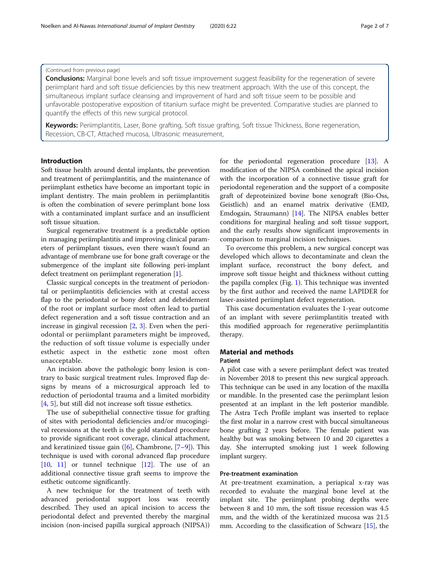## (Continued from previous page)

**Conclusions:** Marginal bone levels and soft tissue improvement suggest feasibility for the regeneration of severe periimplant hard and soft tissue deficiencies by this new treatment approach. With the use of this concept, the simultaneous implant surface cleansing and improvement of hard and soft tissue seem to be possible and unfavorable postoperative exposition of titanium surface might be prevented. Comparative studies are planned to quantify the effects of this new surgical protocol.

Keywords: Periimplantitis, Laser, Bone grafting, Soft tissue grafting, Soft tissue Thickness, Bone regeneration, Recession, CB-CT, Attached mucosa, Ultrasonic measurement,

## Introduction

Soft tissue health around dental implants, the prevention and treatment of periimplantitis, and the maintenance of periimplant esthetics have become an important topic in implant dentistry. The main problem in periimplantitis is often the combination of severe perimplant bone loss with a contaminated implant surface and an insufficient soft tissue situation.

Surgical regenerative treatment is a predictable option in managing periimplantitis and improving clinical parameters of periimplant tissues, even there wasn't found an advantage of membrane use for bone graft coverage or the submergence of the implant site following peri-implant defect treatment on periimplant regeneration [\[1\]](#page-6-0).

Classic surgical concepts in the treatment of periodontal or periimplantitis deficiencies with at crestal access flap to the periodontal or bony defect and debridement of the root or implant surface most often lead to partial defect regeneration and a soft tissue contraction and an increase in gingival recession [[2,](#page-6-0) [3](#page-6-0)]. Even when the periodontal or periimplant parameters might be improved, the reduction of soft tissue volume is especially under esthetic aspect in the esthetic zone most often unacceptable.

An incision above the pathologic bony lesion is contrary to basic surgical treatment rules. Improved flap designs by means of a microsurgical approach led to reduction of periodontal trauma and a limited morbidity [[4,](#page-6-0) [5\]](#page-6-0), but still did not increase soft tissue esthetics.

The use of subepithelial connective tissue for grafting of sites with periodontal deficiencies and/or mucogingival recessions at the teeth is the gold standard procedure to provide significant root coverage, clinical attachment, and keratinized tissue gain  $([6]$  $([6]$  $([6]$ , Chambrone,  $[7-9]$  $[7-9]$  $[7-9]$ ). This technique is used with coronal advanced flap procedure [[10,](#page-6-0) [11\]](#page-6-0) or tunnel technique [\[12\]](#page-6-0). The use of an additional connective tissue graft seems to improve the esthetic outcome significantly.

A new technique for the treatment of teeth with advanced periodontal support loss was recently described. They used an apical incision to access the periodontal defect and prevented thereby the marginal incision (non-incised papilla surgical approach (NIPSA))

for the periodontal regeneration procedure [\[13\]](#page-6-0). A modification of the NIPSA combined the apical incision with the incorporation of a connective tissue graft for periodontal regeneration and the support of a composite graft of deproteinized bovine bone xenograft (Bio-Oss, Geistlich) and an enamel matrix derivative (EMD, Emdogain, Straumann) [[14\]](#page-6-0). The NIPSA enables better conditions for marginal healing and soft tissue support, and the early results show significant improvements in comparison to marginal incision techniques.

To overcome this problem, a new surgical concept was developed which allows to decontaminate and clean the implant surface, reconstruct the bony defect, and improve soft tissue height and thickness without cutting the papilla complex (Fig. [1](#page-2-0)). This technique was invented by the first author and received the name LAPIDER for laser-assisted periimplant defect regeneration.

This case documentation evaluates the 1-year outcome of an implant with severe periimplantitis treated with this modified approach for regenerative periimplantitis therapy.

## Material and methods

## Patient

A pilot case with a severe periimplant defect was treated in November 2018 to present this new surgical approach. This technique can be used in any location of the maxilla or mandible. In the presented case the periimplant lesion presented at an implant in the left posterior mandible. The Astra Tech Profile implant was inserted to replace the first molar in a narrow crest with buccal simultaneous bone grafting 2 years before. The female patient was healthy but was smoking between 10 and 20 cigarettes a day. She interrupted smoking just 1 week following implant surgery.

## Pre-treatment examination

At pre-treatment examination, a periapical x-ray was recorded to evaluate the marginal bone level at the implant site. The periimplant probing depths were between 8 and 10 mm, the soft tissue recession was 4.5 mm, and the width of the keratinized mucosa was 21.5 mm. According to the classification of Schwarz [\[15](#page-6-0)], the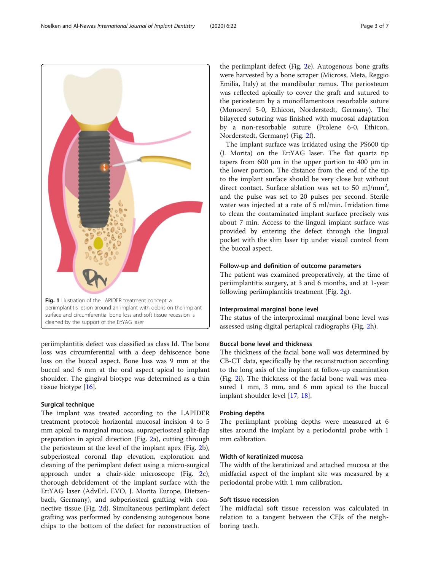<span id="page-2-0"></span>

periimplantitis defect was classified as class Id. The bone loss was circumferential with a deep dehiscence bone loss on the buccal aspect. Bone loss was 9 mm at the buccal and 6 mm at the oral aspect apical to implant shoulder. The gingival biotype was determined as a thin tissue biotype [[16\]](#page-6-0).

## Surgical technique

The implant was treated according to the LAPIDER treatment protocol: horizontal mucosal incision 4 to 5 mm apical to marginal mucosa, supraperiosteal split-flap preparation in apical direction (Fig. [2](#page-4-0)a), cutting through the periosteum at the level of the implant apex (Fig. [2](#page-4-0)b), subperiosteal coronal flap elevation, exploration and cleaning of the periimplant defect using a micro-surgical approach under a chair-side microscope (Fig. [2c](#page-4-0)), thorough debridement of the implant surface with the Er:YAG laser (AdvErL EVO, J. Morita Europe, Dietzenbach, Germany), and subperiosteal grafting with connective tissue (Fig. [2](#page-4-0)d). Simultaneous periimplant defect grafting was performed by condensing autogenous bone chips to the bottom of the defect for reconstruction of

the periimplant defect (Fig. [2](#page-4-0)e). Autogenous bone grafts were harvested by a bone scraper (Micross, Meta, Reggio Emilia, Italy) at the mandibular ramus. The periosteum was reflected apically to cover the graft and sutured to the periosteum by a monofilamentous resorbable suture (Monocryl 5-0, Ethicon, Norderstedt, Germany). The bilayered suturing was finished with mucosal adaptation by a non-resorbable suture (Prolene 6-0, Ethicon, Norderstedt, Germany) (Fig. [2](#page-4-0)f).

The implant surface was irridated using the PS600 tip (J. Morita) on the Er:YAG laser. The flat quartz tip tapers from 600 μm in the upper portion to 400 μm in the lower portion. The distance from the end of the tip to the implant surface should be very close but without direct contact. Surface ablation was set to 50 mJ/mm<sup>2</sup>, and the pulse was set to 20 pulses per second. Sterile water was injected at a rate of 5 ml/min. Irridation time to clean the contaminated implant surface precisely was about 7 min. Access to the lingual implant surface was provided by entering the defect through the lingual pocket with the slim laser tip under visual control from the buccal aspect.

#### Follow-up and definition of outcome parameters

The patient was examined preoperatively, at the time of periimplantitis surgery, at 3 and 6 months, and at 1-year following periimplantitis treatment (Fig. [2](#page-4-0)g).

## Interproximal marginal bone level

The status of the interproximal marginal bone level was assessed using digital periapical radiographs (Fig. [2h](#page-4-0)).

## Buccal bone level and thickness

The thickness of the facial bone wall was determined by CB-CT data, specifically by the reconstruction according to the long axis of the implant at follow-up examination (Fig. [2i](#page-4-0)). The thickness of the facial bone wall was measured 1 mm, 3 mm, and 6 mm apical to the buccal implant shoulder level [[17,](#page-6-0) [18\]](#page-6-0).

## Probing depths

The periimplant probing depths were measured at 6 sites around the implant by a periodontal probe with 1 mm calibration.

## Width of keratinized mucosa

The width of the keratinized and attached mucosa at the midfacial aspect of the implant site was measured by a periodontal probe with 1 mm calibration.

## Soft tissue recession

The midfacial soft tissue recession was calculated in relation to a tangent between the CEJs of the neighboring teeth.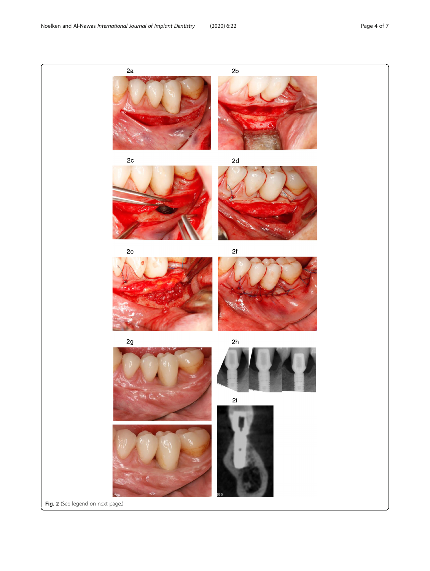

Fig. 2 (See legend on next page.)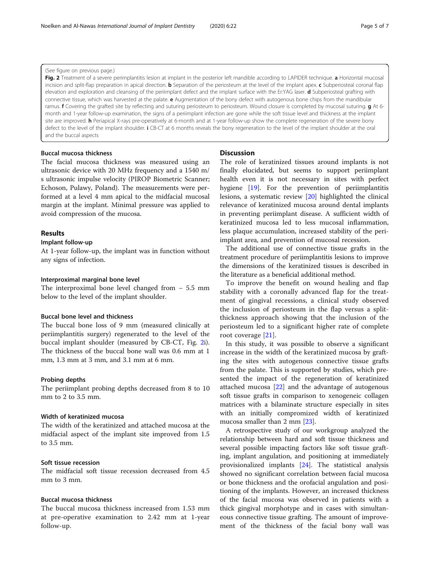#### <span id="page-4-0"></span>(See figure on previous page.)

Fig. 2 Treatment of a severe perimplantitis lesion at implant in the posterior left mandible according to LAPIDER technique. a Horizontal mucosal incision and split-flap preparation in apical direction. **b** Separation of the periosteum at the level of the implant apex. c Subperiosteal coronal flap elevation and exploration and cleansing of the periimplant defect and the implant surface with the Er:YAG laser. d Subperiosteal grafting with connective tissue, which was harvested at the palate. **e** Augmentation of the bony defect with autogenous bone chips from the mandibular ramus. f Covering the grafted site by reflecting and suturing periosteum to periosteum. Wound closure is completed by mucosal suturing. q At 6month and 1-year follow-up examination, the signs of a periimplant infection are gone while the soft tissue level and thickness at the implant site are improved. **h** Periapical X-rays pre-operatively at 6-month and at 1-year follow-up show the complete regeneration of the severe bony defect to the level of the implant shoulder. i CB-CT at 6 months reveals the bony regeneration to the level of the implant shoulder at the oral and the buccal aspects

## Buccal mucosa thickness

The facial mucosa thickness was measured using an ultrasonic device with 20 MHz frequency and a 1540 m/ s ultrasonic impulse velocity (PIROP Biometric Scanner; Echoson, Pulawy, Poland). The measurements were performed at a level 4 mm apical to the midfacial mucosal margin at the implant. Minimal pressure was applied to avoid compression of the mucosa.

## Results

## Implant follow-up

At 1-year follow-up, the implant was in function without any signs of infection.

#### Interproximal marginal bone level

The interproximal bone level changed from − 5.5 mm below to the level of the implant shoulder.

## Buccal bone level and thickness

The buccal bone loss of 9 mm (measured clinically at periimplantitis surgery) regenerated to the level of the buccal implant shoulder (measured by CB-CT, Fig. 2i). The thickness of the buccal bone wall was 0.6 mm at 1 mm, 1.3 mm at 3 mm, and 3.1 mm at 6 mm.

#### Probing depths

The periimplant probing depths decreased from 8 to 10 mm to 2 to 3.5 mm.

## Width of keratinized mucosa

The width of the keratinized and attached mucosa at the midfacial aspect of the implant site improved from 1.5 to 3.5 mm.

#### Soft tissue recession

The midfacial soft tissue recession decreased from 4.5 mm to 3 mm.

## Buccal mucosa thickness

The buccal mucosa thickness increased from 1.53 mm at pre-operative examination to 2.42 mm at 1-year follow-up.

### **Discussion**

The role of keratinized tissues around implants is not finally elucidated, but seems to support periimplant health even it is not necessary in sites with perfect hygiene [[19\]](#page-6-0). For the prevention of periimplantitis lesions, a systematic review [\[20](#page-6-0)] highlighted the clinical relevance of keratinized mucosa around dental implants in preventing periimplant disease. A sufficient width of keratinized mucosa led to less mucosal inflammation, less plaque accumulation, increased stability of the periimplant area, and prevention of mucosal recession.

The additional use of connective tissue grafts in the treatment procedure of periimplantitis lesions to improve the dimensions of the keratinized tissues is described in the literature as a beneficial additional method.

To improve the benefit on wound healing and flap stability with a coronally advanced flap for the treatment of gingival recessions, a clinical study observed the inclusion of periosteum in the flap versus a splitthickness approach showing that the inclusion of the periosteum led to a significant higher rate of complete root coverage [[21\]](#page-6-0).

In this study, it was possible to observe a significant increase in the width of the keratinized mucosa by grafting the sites with autogenous connective tissue grafts from the palate. This is supported by studies, which presented the impact of the regeneration of keratinized attached mucosa [[22\]](#page-6-0) and the advantage of autogenous soft tissue grafts in comparison to xenogeneic collagen matrices with a bilaminate structure especially in sites with an initially compromized width of keratinized mucosa smaller than 2 mm [[23\]](#page-6-0).

A retrospective study of our workgroup analyzed the relationship between hard and soft tissue thickness and several possible impacting factors like soft tissue grafting, implant angulation, and positioning at immediately provisionalized implants [[24\]](#page-6-0). The statistical analysis showed no significant correlation between facial mucosa or bone thickness and the orofacial angulation and positioning of the implants. However, an increased thickness of the facial mucosa was observed in patients with a thick gingival morphotype and in cases with simultaneous connective tissue grafting. The amount of improvement of the thickness of the facial bony wall was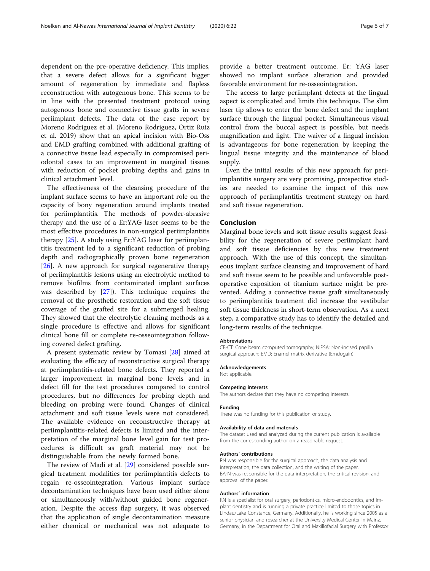dependent on the pre-operative deficiency. This implies, that a severe defect allows for a significant bigger amount of regeneration by immediate and flapless reconstruction with autogenous bone. This seems to be in line with the presented treatment protocol using autogenous bone and connective tissue grafts in severe periimplant defects. The data of the case report by Moreno Rodriguez et al. (Moreno Rodriguez, Ortiz Ruiz et al. 2019) show that an apical incision with Bio-Oss and EMD grafting combined with additional grafting of a connective tissue lead especially in compromised periodontal cases to an improvement in marginal tissues with reduction of pocket probing depths and gains in clinical attachment level.

The effectiveness of the cleansing procedure of the implant surface seems to have an important role on the capacity of bony regeneration around implants treated for periimplantitis. The methods of powder-abrasive therapy and the use of a Er:YAG laser seems to be the most effective procedures in non-surgical periimplantitis therapy [\[25](#page-6-0)]. A study using Er:YAG laser for periimplantitis treatment led to a significant reduction of probing depth and radiographically proven bone regeneration [[26\]](#page-6-0). A new approach for surgical regenerative therapy of periimplantitis lesions using an electrolytic method to remove biofilms from contaminated implant surfaces was described by [\[27](#page-6-0)]). This technique requires the removal of the prosthetic restoration and the soft tissue coverage of the grafted site for a submerged healing. They showed that the electrolytic cleaning methods as a single procedure is effective and allows for significant clinical bone fill or complete re-osseointegration following covered defect grafting.

A present systematic review by Tomasi [\[28](#page-6-0)] aimed at evaluating the efficacy of reconstructive surgical therapy at periimplantitis-related bone defects. They reported a larger improvement in marginal bone levels and in defect fill for the test procedures compared to control procedures, but no differences for probing depth and bleeding on probing were found. Changes of clinical attachment and soft tissue levels were not considered. The available evidence on reconstructive therapy at periimplantitis-related defects is limited and the interpretation of the marginal bone level gain for test procedures is difficult as graft material may not be distinguishable from the newly formed bone.

The review of Madi et al. [\[29\]](#page-6-0) considered possible surgical treatment modalities for periimplantitis defects to regain re-osseointegration. Various implant surface decontamination techniques have been used either alone or simultaneously with/without guided bone regeneration. Despite the access flap surgery, it was observed that the application of single decontamination measure either chemical or mechanical was not adequate to provide a better treatment outcome. Er: YAG laser showed no implant surface alteration and provided favorable environment for re-osseointegration.

The access to large periimplant defects at the lingual aspect is complicated and limits this technique. The slim laser tip allows to enter the bone defect and the implant surface through the lingual pocket. Simultaneous visual control from the buccal aspect is possible, but needs magnification and light. The waiver of a lingual incision is advantageous for bone regeneration by keeping the lingual tissue integrity and the maintenance of blood supply.

Even the initial results of this new approach for periimplantitis surgery are very promising, prospective studies are needed to examine the impact of this new approach of periimplantitis treatment strategy on hard and soft tissue regeneration.

## Conclusion

Marginal bone levels and soft tissue results suggest feasibility for the regeneration of severe periimplant hard and soft tissue deficiencies by this new treatment approach. With the use of this concept, the simultaneous implant surface cleansing and improvement of hard and soft tissue seem to be possible and unfavorable postoperative exposition of titanium surface might be prevented. Adding a connective tissue graft simultaneously to periimplantitis treatment did increase the vestibular soft tissue thickness in short-term observation. As a next step, a comparative study has to identify the detailed and long-term results of the technique.

#### Abbreviations

CB-CT: Cone beam computed tomography; NIPSA: Non-incised papilla surgical approach; EMD: Enamel matrix derivative (Emdogain)

#### Acknowledgements

Not applicable.

#### Competing interests

The authors declare that they have no competing interests.

#### Funding

There was no funding for this publication or study.

#### Availability of data and materials

The dataset used and analyzed during the current publication is available from the corresponding author on a reasonable request.

#### Authors' contributions

RN was responsible for the surgical approach, the data analysis and interpretation, the data collection, and the writing of the paper. BA-N was responsible for the data interpretation, the critical revision, and approval of the paper.

#### Authors' information

RN is a specialist for oral surgery, periodontics, micro-endodontics, and implant dentistry and is running a private practice limited to those topics in Lindau/Lake Constance, Germany. Additionally, he is working since 2005 as a senior physician and researcher at the University Medical Center in Mainz, Germany, in the Department for Oral and Maxillofacial Surgery with Professor